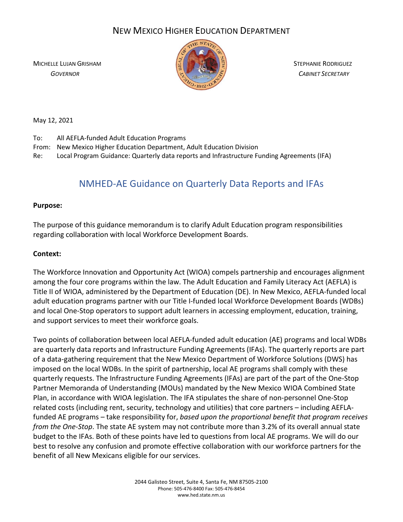# NEW MEXICO HIGHER EDUCATION DEPARTMENT

MICHELLE LUJAN GRISHAM STEPHANIE RODRIGUEZ



 *GOVERNOR CABINET SECRETARY*

May 12, 2021

- To: All AEFLA-funded Adult Education Programs
- From: New Mexico Higher Education Department, Adult Education Division
- Re: Local Program Guidance: Quarterly data reports and Infrastructure Funding Agreements (IFA)

# NMHED-AE Guidance on Quarterly Data Reports and IFAs

# **Purpose:**

The purpose of this guidance memorandum is to clarify Adult Education program responsibilities regarding collaboration with local Workforce Development Boards.

# **Context:**

The Workforce Innovation and Opportunity Act (WIOA) compels partnership and encourages alignment among the four core programs within the law. The Adult Education and Family Literacy Act (AEFLA) is Title II of WIOA, administered by the Department of Education (DE). In New Mexico, AEFLA-funded local adult education programs partner with our Title I-funded local Workforce Development Boards (WDBs) and local One-Stop operators to support adult learners in accessing employment, education, training, and support services to meet their workforce goals.

Two points of collaboration between local AEFLA-funded adult education (AE) programs and local WDBs are quarterly data reports and Infrastructure Funding Agreements (IFAs). The quarterly reports are part of a data-gathering requirement that the New Mexico Department of Workforce Solutions (DWS) has imposed on the local WDBs. In the spirit of partnership, local AE programs shall comply with these quarterly requests. The Infrastructure Funding Agreements (IFAs) are part of the part of the One-Stop Partner Memoranda of Understanding (MOUs) mandated by the New Mexico WIOA Combined State Plan, in accordance with WIOA legislation. The IFA stipulates the share of non-personnel One-Stop related costs (including rent, security, technology and utilities) that core partners – including AEFLAfunded AE programs – take responsibility for, *based upon the proportional benefit that program receives from the One-Stop*. The state AE system may not contribute more than 3.2% of its overall annual state budget to the IFAs. Both of these points have led to questions from local AE programs. We will do our best to resolve any confusion and promote effective collaboration with our workforce partners for the benefit of all New Mexicans eligible for our services.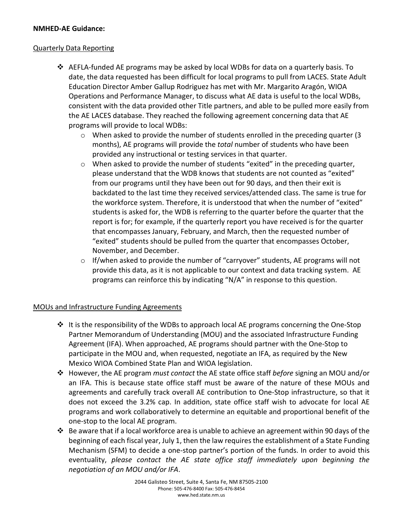# **NMHED-AE Guidance:**

### Quarterly Data Reporting

- $\triangle$  AEFLA-funded AE programs may be asked by local WDBs for data on a quarterly basis. To date, the data requested has been difficult for local programs to pull from LACES. State Adult Education Director Amber Gallup Rodriguez has met with Mr. Margarito Aragón, WIOA Operations and Performance Manager, to discuss what AE data is useful to the local WDBs, consistent with the data provided other Title partners, and able to be pulled more easily from the AE LACES database. They reached the following agreement concerning data that AE programs will provide to local WDBs:
	- $\circ$  When asked to provide the number of students enrolled in the preceding quarter (3) months), AE programs will provide the *total* number of students who have been provided any instructional or testing services in that quarter.
	- $\circ$  When asked to provide the number of students "exited" in the preceding quarter, please understand that the WDB knows that students are not counted as "exited" from our programs until they have been out for 90 days, and then their exit is backdated to the last time they received services/attended class. The same is true for the workforce system. Therefore, it is understood that when the number of "exited" students is asked for, the WDB is referring to the quarter before the quarter that the report is for; for example, if the quarterly report you have received is for the quarter that encompasses January, February, and March, then the requested number of "exited" students should be pulled from the quarter that encompasses October, November, and December.
	- o If/when asked to provide the number of "carryover" students, AE programs will not provide this data, as it is not applicable to our context and data tracking system. AE programs can reinforce this by indicating "N/A" in response to this question.

# MOUs and Infrastructure Funding Agreements

- $\cdot \cdot$  It is the responsibility of the WDBs to approach local AE programs concerning the One-Stop Partner Memorandum of Understanding (MOU) and the associated Infrastructure Funding Agreement (IFA). When approached, AE programs should partner with the One-Stop to participate in the MOU and, when requested, negotiate an IFA, as required by the New Mexico WIOA Combined State Plan and WIOA legislation.
- However, the AE program *must contact* the AE state office staff *before* signing an MOU and/or an IFA. This is because state office staff must be aware of the nature of these MOUs and agreements and carefully track overall AE contribution to One-Stop infrastructure, so that it does not exceed the 3.2% cap. In addition, state office staff wish to advocate for local AE programs and work collaboratively to determine an equitable and proportional benefit of the one-stop to the local AE program.
- Be aware that if a local workforce area is unable to achieve an agreement within 90 days of the beginning of each fiscal year, July 1, then the law requires the establishment of a State Funding Mechanism (SFM) to decide a one-stop partner's portion of the funds. In order to avoid this eventuality, *please contact the AE state office staff immediately upon beginning the negotiation of an MOU and/or IFA*.